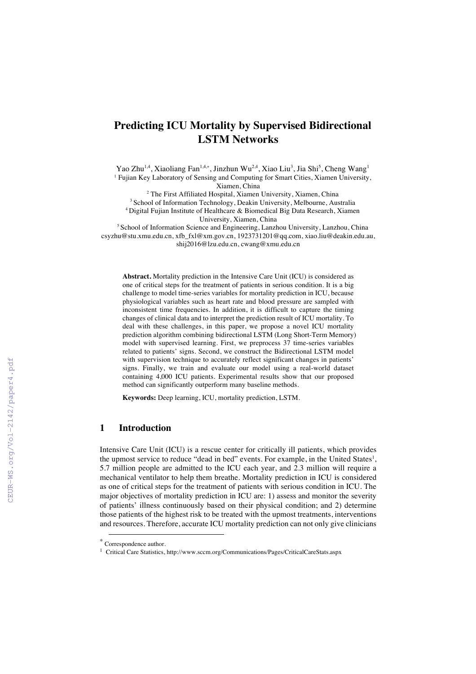# **Predicting ICU Mortality by Supervised Bidirectional LSTM Networks**

Yao Zhu $^{1,4}$ , Xiaoliang Fan $^{1,4,*}$ , Jinzhun Wu $^{2,4}$ , Xiao Liu $^3$ , Jia Shi $^5$ , Cheng Wang $^1$ <sup>1</sup> Fujian Key Laboratory of Sensing and Computing for Smart Cities, Xiamen University, Xiamen, China

<sup>2</sup> The First Affiliated Hospital, Xiamen University, Xiamen, China <sup>3</sup> School of Information Technology, Deakin University, Melbourne, Australia 4 Digital Fujian Institute of Healthcare & Biomedical Big Data Research, Xiamen University, Xiamen, China

<sup>5</sup> School of Information Science and Engineering, Lanzhou University, Lanzhou, China csyzhu@stu.xmu.edu.cn, xfb\_fxl@xm.gov.cn, 1923731201@qq.com, xiao.liu@deakin.edu.au, shij2016@lzu.edu.cn, cwang@xmu.edu.cn

**Abstract.** Mortality prediction in the Intensive Care Unit (ICU) is considered as one of critical steps for the treatment of patients in serious condition. It is a big challenge to model time-series variables for mortality prediction in ICU, because physiological variables such as heart rate and blood pressure are sampled with inconsistent time frequencies. In addition, it is difficult to capture the timing changes of clinical data and to interpret the prediction result of ICU mortality. To deal with these challenges, in this paper, we propose a novel ICU mortality prediction algorithm combining bidirectional LSTM (Long Short-Term Memory) model with supervised learning. First, we preprocess 37 time-series variables related to patients' signs. Second, we construct the Bidirectional LSTM model with supervision technique to accurately reflect significant changes in patients' signs. Finally, we train and evaluate our model using a real-world dataset containing 4,000 ICU patients. Experimental results show that our proposed method can significantly outperform many baseline methods.

**Keywords:** Deep learning, ICU, mortality prediction, LSTM.

# **1 Introduction**

Intensive Care Unit (ICU) is a rescue center for critically ill patients, which provides the upmost service to reduce "dead in bed" events. For example, in the United States<sup>1</sup>, 5.7 million people are admitted to the ICU each year, and 2.3 million will require a mechanical ventilator to help them breathe. Mortality prediction in ICU is considered as one of critical steps for the treatment of patients with serious condition in ICU. The major objectives of mortality prediction in ICU are: 1) assess and monitor the severity of patients' illness continuously based on their physical condition; and 2) determine those patients of the highest risk to be treated with the upmost treatments, interventions and resources. Therefore, accurate ICU mortality prediction can not only give clinicians

Correspondence author.

<sup>1</sup> Critical Care Statistics, http://www.sccm.org/Communications/Pages/CriticalCareStats.aspx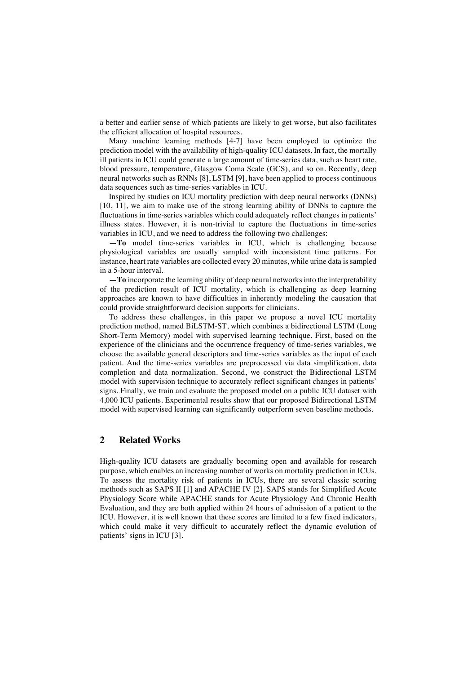a better and earlier sense of which patients are likely to get worse, but also facilitates the efficient allocation of hospital resources.

Many machine learning methods [4-7] have been employed to optimize the prediction model with the availability of high-quality ICU datasets. In fact, the mortally ill patients in ICU could generate a large amount of time-series data, such as heart rate, blood pressure, temperature, Glasgow Coma Scale (GCS), and so on. Recently, deep neural networks such as RNNs [8], LSTM [9], have been applied to process continuous data sequences such as time-series variables in ICU.

Inspired by studies on ICU mortality prediction with deep neural networks (DNNs) [10, 11], we aim to make use of the strong learning ability of DNNs to capture the fluctuations in time-series variables which could adequately reflect changes in patients' illness states. However, it is non-trivial to capture the fluctuations in time-series variables in ICU, and we need to address the following two challenges:

**—To** model time-series variables in ICU, which is challenging because physiological variables are usually sampled with inconsistent time patterns. For instance, heart rate variables are collected every 20 minutes, while urine data is sampled in a 5-hour interval.

**—To** incorporate the learning ability of deep neural networks into the interpretability of the prediction result of ICU mortality, which is challenging as deep learning approaches are known to have difficulties in inherently modeling the causation that could provide straightforward decision supports for clinicians.

To address these challenges, in this paper we propose a novel ICU mortality prediction method, named BiLSTM-ST, which combines a bidirectional LSTM (Long Short-Term Memory) model with supervised learning technique. First, based on the experience of the clinicians and the occurrence frequency of time-series variables, we choose the available general descriptors and time-series variables as the input of each patient. And the time-series variables are preprocessed via data simplification, data completion and data normalization. Second, we construct the Bidirectional LSTM model with supervision technique to accurately reflect significant changes in patients' signs. Finally, we train and evaluate the proposed model on a public ICU dataset with 4,000 ICU patients. Experimental results show that our proposed Bidirectional LSTM model with supervised learning can significantly outperform seven baseline methods.

# **2 Related Works**

High-quality ICU datasets are gradually becoming open and available for research purpose, which enables an increasing number of works on mortality prediction in ICUs. To assess the mortality risk of patients in ICUs, there are several classic scoring methods such as SAPS II [1] and APACHE IV [2]. SAPS stands for Simplified Acute Physiology Score while APACHE stands for Acute Physiology And Chronic Health Evaluation, and they are both applied within 24 hours of admission of a patient to the ICU. However, it is well known that these scores are limited to a few fixed indicators, which could make it very difficult to accurately reflect the dynamic evolution of patients' signs in ICU [3].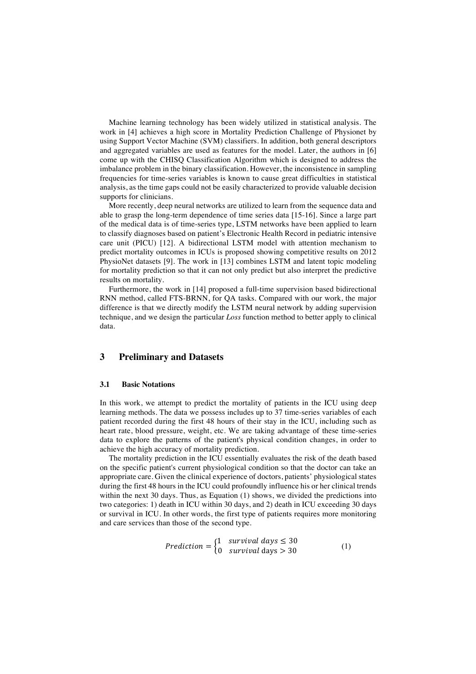Machine learning technology has been widely utilized in statistical analysis. The work in [4] achieves a high score in Mortality Prediction Challenge of Physionet by using Support Vector Machine (SVM) classifiers. In addition, both general descriptors and aggregated variables are used as features for the model. Later, the authors in [6] come up with the CHISQ Classification Algorithm which is designed to address the imbalance problem in the binary classification. However, the inconsistence in sampling frequencies for time-series variables is known to cause great difficulties in statistical analysis, as the time gaps could not be easily characterized to provide valuable decision supports for clinicians.

More recently, deep neural networks are utilized to learn from the sequence data and able to grasp the long-term dependence of time series data [15-16]. Since a large part of the medical data is of time-series type, LSTM networks have been applied to learn to classify diagnoses based on patient's Electronic Health Record in pediatric intensive care unit (PICU) [12]. A bidirectional LSTM model with attention mechanism to predict mortality outcomes in ICUs is proposed showing competitive results on 2012 PhysioNet datasets [9]. The work in [13] combines LSTM and latent topic modeling for mortality prediction so that it can not only predict but also interpret the predictive results on mortality.

Furthermore, the work in [14] proposed a full-time supervision based bidirectional RNN method, called FTS-BRNN, for QA tasks. Compared with our work, the major difference is that we directly modify the LSTM neural network by adding supervision technique, and we design the particular *Loss* function method to better apply to clinical data.

# **3 Preliminary and Datasets**

#### **3.1 Basic Notations**

In this work, we attempt to predict the mortality of patients in the ICU using deep learning methods. The data we possess includes up to 37 time-series variables of each patient recorded during the first 48 hours of their stay in the ICU, including such as heart rate, blood pressure, weight, etc. We are taking advantage of these time-series data to explore the patterns of the patient's physical condition changes, in order to achieve the high accuracy of mortality prediction.

The mortality prediction in the ICU essentially evaluates the risk of the death based on the specific patient's current physiological condition so that the doctor can take an appropriate care. Given the clinical experience of doctors, patients' physiological states during the first 48 hours in the ICU could profoundly influence his or her clinical trends within the next 30 days. Thus, as Equation (1) shows, we divided the predictions into two categories: 1) death in ICU within 30 days, and 2) death in ICU exceeding 30 days or survival in ICU. In other words, the first type of patients requires more monitoring and care services than those of the second type.

$$
Prediction = \begin{cases} 1 & \text{survival days} \le 30 \\ 0 & \text{survival days} > 30 \end{cases}
$$
 (1)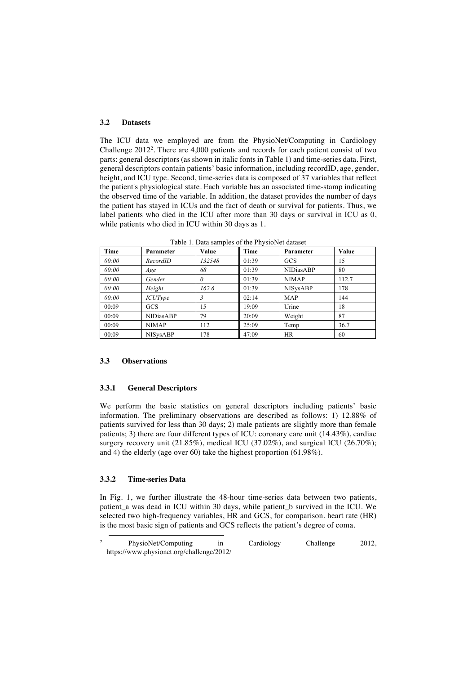### **3.2 Datasets**

The ICU data we employed are from the PhysioNet/Computing in Cardiology Challenge 20122 . There are 4,000 patients and records for each patient consist of two parts: general descriptors (as shown in italic fonts in Table 1) and time-series data. First, general descriptors contain patients' basic information, including recordID, age, gender, height, and ICU type. Second, time-series data is composed of 37 variables that reflect the patient's physiological state. Each variable has an associated time-stamp indicating the observed time of the variable. In addition, the dataset provides the number of days the patient has stayed in ICUs and the fact of death or survival for patients. Thus, we label patients who died in the ICU after more than 30 days or survival in ICU as 0, while patients who died in ICU within 30 days as 1.

| Time  | Parameter        | Value  | Time  | Parameter        | Value |
|-------|------------------|--------|-------|------------------|-------|
| 00:00 | RecordID         | 132548 | 01:39 | GCS              | 15    |
| 00:00 | Age              | 68     | 01:39 | <b>NIDiasABP</b> | 80    |
| 00:00 | Gender           | N      | 01:39 | <b>NIMAP</b>     | 112.7 |
| 00:00 | Height           | 162.6  | 01:39 | <b>NISysABP</b>  | 178   |
| 00:00 | <i>ICUType</i>   |        | 02:14 | <b>MAP</b>       | 144   |
| 00:09 | <b>GCS</b>       | 15     | 19:09 | Urine            | 18    |
| 00:09 | <b>NIDiasABP</b> | 79     | 20:09 | Weight           | 87    |
| 00:09 | <b>NIMAP</b>     | 112    | 25:09 | Temp             | 36.7  |
| 00:09 | <b>NISysABP</b>  | 178    | 47:09 | <b>HR</b>        | 60    |

Table 1. Data samples of the PhysioNet dataset

#### **3.3 Observations**

#### **3.3.1 General Descriptors**

We perform the basic statistics on general descriptors including patients' basic information. The preliminary observations are described as follows: 1) 12.88% of patients survived for less than 30 days; 2) male patients are slightly more than female patients; 3) there are four different types of ICU: coronary care unit (14.43%), cardiac surgery recovery unit (21.85%), medical ICU (37.02%), and surgical ICU (26.70%); and 4) the elderly (age over 60) take the highest proportion (61.98%).

### **3.3.2 Time-series Data**

In Fig. 1, we further illustrate the 48-hour time-series data between two patients, patient a was dead in ICU within 30 days, while patient b survived in the ICU. We selected two high-frequency variables, HR and GCS, for comparison. heart rate (HR) is the most basic sign of patients and GCS reflects the patient's degree of coma.

<sup>&</sup>lt;sup>2</sup> PhysioNet/Computing in Cardiology Challenge 2012, https://www.physionet.org/challenge/2012/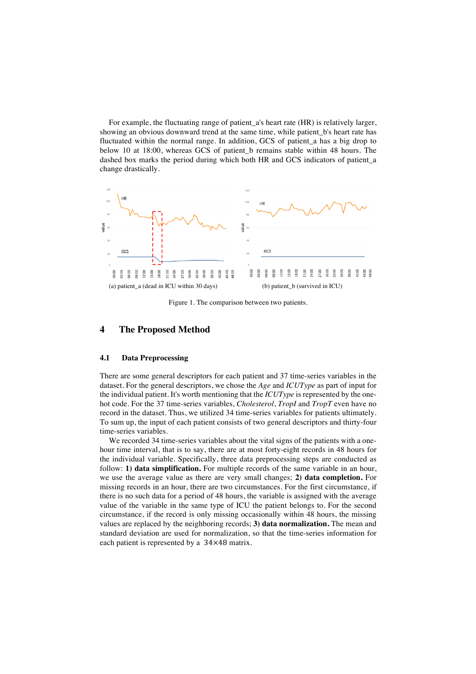For example, the fluctuating range of patient\_a's heart rate (HR) is relatively larger, showing an obvious downward trend at the same time, while patient\_b's heart rate has fluctuated within the normal range. In addition, GCS of patient\_a has a big drop to below 10 at 18:00, whereas GCS of patient\_b remains stable within 48 hours. The dashed box marks the period during which both HR and GCS indicators of patient\_a change drastically.



Figure 1. The comparison between two patients.

### **4 The Proposed Method**

#### **4.1 Data Preprocessing**

There are some general descriptors for each patient and 37 time-series variables in the dataset. For the general descriptors, we chose the *Age* and *ICUType* as part of input for the individual patient. It's worth mentioning that the *ICUType* is represented by the onehot code. For the 37 time-series variables, *Cholesterol*, *TropI* and *TropT* even have no record in the dataset. Thus, we utilized 34 time-series variables for patients ultimately. To sum up, the input of each patient consists of two general descriptors and thirty-four time-series variables.

We recorded 34 time-series variables about the vital signs of the patients with a onehour time interval, that is to say, there are at most forty-eight records in 48 hours for the individual variable. Specifically, three data preprocessing steps are conducted as follow: **1) data simplification.** For multiple records of the same variable in an hour, we use the average value as there are very small changes; **2) data completion.** For missing records in an hour, there are two circumstances. For the first circumstance, if there is no such data for a period of 48 hours, the variable is assigned with the average value of the variable in the same type of ICU the patient belongs to. For the second circumstance, if the record is only missing occasionally within 48 hours, the missing values are replaced by the neighboring records; **3) data normalization.** The mean and standard deviation are used for normalization, so that the time-series information for each patient is represented by a 34×48 matrix.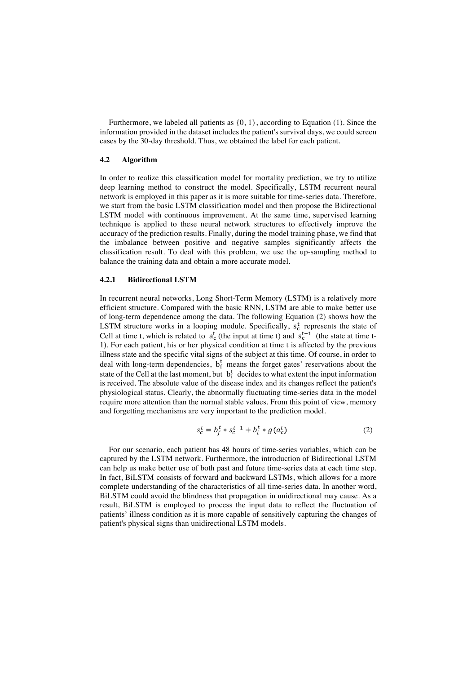Furthermore, we labeled all patients as  $\{0, 1\}$ , according to Equation (1). Since the information provided in the dataset includes the patient's survival days, we could screen cases by the 30-day threshold. Thus, we obtained the label for each patient.

# **4.2 Algorithm**

In order to realize this classification model for mortality prediction, we try to utilize deep learning method to construct the model. Specifically, LSTM recurrent neural network is employed in this paper as it is more suitable for time-series data. Therefore, we start from the basic LSTM classification model and then propose the Bidirectional LSTM model with continuous improvement. At the same time, supervised learning technique is applied to these neural network structures to effectively improve the accuracy of the prediction results. Finally, during the model training phase, we find that the imbalance between positive and negative samples significantly affects the classification result. To deal with this problem, we use the up-sampling method to balance the training data and obtain a more accurate model.

#### **4.2.1 Bidirectional LSTM**

In recurrent neural networks, Long Short-Term Memory (LSTM) is a relatively more efficient structure. Compared with the basic RNN, LSTM are able to make better use of long-term dependence among the data. The following Equation (2) shows how the LSTM structure works in a looping module. Specifically,  $s_c^t$  represents the state of Cell at time t, which is related to  $a_c^t$  (the input at time t) and  $s_c^{t-1}$  (the state at time t-1). For each patient, his or her physical condition at time t is affected by the previous illness state and the specific vital signs of the subject at this time. Of course, in order to deal with long-term dependencies,  $b_f^t$  means the forget gates' reservations about the state of the Cell at the last moment, but  $b_i^t$  decides to what extent the input information is received. The absolute value of the disease index and its changes reflect the patient's physiological status. Clearly, the abnormally fluctuating time-series data in the model require more attention than the normal stable values. From this point of view, memory and forgetting mechanisms are very important to the prediction model.

$$
s_c^t = b_f^t * s_c^{t-1} + b_i^t * g(a_c^t)
$$
 (2)

For our scenario, each patient has 48 hours of time-series variables, which can be captured by the LSTM network. Furthermore, the introduction of Bidirectional LSTM can help us make better use of both past and future time-series data at each time step. In fact, BiLSTM consists of forward and backward LSTMs, which allows for a more complete understanding of the characteristics of all time-series data. In another word, BiLSTM could avoid the blindness that propagation in unidirectional may cause. As a result, BiLSTM is employed to process the input data to reflect the fluctuation of patients' illness condition as it is more capable of sensitively capturing the changes of patient's physical signs than unidirectional LSTM models.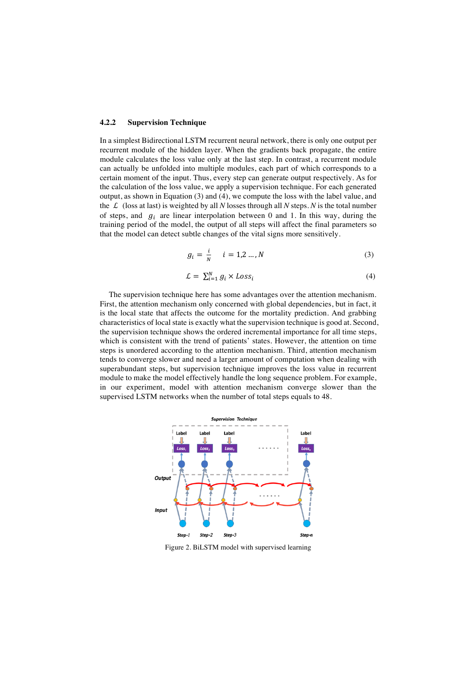### **4.2.2 Supervision Technique**

In a simplest Bidirectional LSTM recurrent neural network, there is only one output per recurrent module of the hidden layer. When the gradients back propagate, the entire module calculates the loss value only at the last step. In contrast, a recurrent module can actually be unfolded into multiple modules, each part of which corresponds to a certain moment of the input. Thus, every step can generate output respectively. As for the calculation of the loss value, we apply a supervision technique. For each generated output, as shown in Equation (3) and (4), we compute the loss with the label value, and the  $\mathcal L$  (loss at last) is weighted by all *N* losses through all *N* steps. *N* is the total number of steps, and  $g_i$  are linear interpolation between 0 and 1. In this way, during the training period of the model, the output of all steps will affect the final parameters so that the model can detect subtle changes of the vital signs more sensitively.

$$
g_i = \frac{i}{N} \qquad i = 1, 2 \dots, N \tag{3}
$$

$$
\mathcal{L} = \sum_{i=1}^{N} g_i \times Loss_i \tag{4}
$$

The supervision technique here has some advantages over the attention mechanism. First, the attention mechanism only concerned with global dependencies, but in fact, it is the local state that affects the outcome for the mortality prediction. And grabbing characteristics of local state is exactly what the supervision technique is good at. Second, the supervision technique shows the ordered incremental importance for all time steps, which is consistent with the trend of patients' states. However, the attention on time steps is unordered according to the attention mechanism. Third, attention mechanism tends to converge slower and need a larger amount of computation when dealing with superabundant steps, but supervision technique improves the loss value in recurrent module to make the model effectively handle the long sequence problem. For example, in our experiment, model with attention mechanism converge slower than the supervised LSTM networks when the number of total steps equals to 48.



Figure 2. BiLSTM model with supervised learning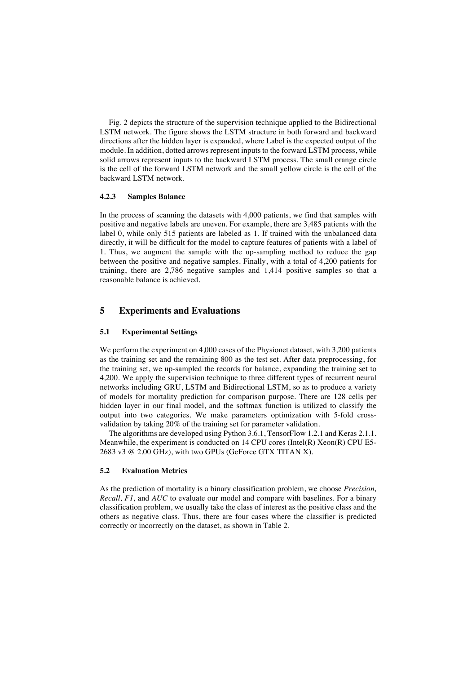Fig. 2 depicts the structure of the supervision technique applied to the Bidirectional LSTM network. The figure shows the LSTM structure in both forward and backward directions after the hidden layer is expanded, where Label is the expected output of the module. In addition, dotted arrows represent inputs to the forward LSTM process, while solid arrows represent inputs to the backward LSTM process. The small orange circle is the cell of the forward LSTM network and the small yellow circle is the cell of the backward LSTM network.

### **4.2.3 Samples Balance**

In the process of scanning the datasets with 4,000 patients, we find that samples with positive and negative labels are uneven. For example, there are 3,485 patients with the label 0, while only 515 patients are labeled as 1. If trained with the unbalanced data directly, it will be difficult for the model to capture features of patients with a label of 1. Thus, we augment the sample with the up-sampling method to reduce the gap between the positive and negative samples. Finally, with a total of 4,200 patients for training, there are 2,786 negative samples and 1,414 positive samples so that a reasonable balance is achieved.

# **5 Experiments and Evaluations**

# **5.1 Experimental Settings**

We perform the experiment on 4,000 cases of the Physionet dataset, with 3,200 patients as the training set and the remaining 800 as the test set. After data preprocessing, for the training set, we up-sampled the records for balance, expanding the training set to 4,200. We apply the supervision technique to three different types of recurrent neural networks including GRU, LSTM and Bidirectional LSTM, so as to produce a variety of models for mortality prediction for comparison purpose. There are 128 cells per hidden layer in our final model, and the softmax function is utilized to classify the output into two categories. We make parameters optimization with 5-fold crossvalidation by taking 20% of the training set for parameter validation.

The algorithms are developed using Python 3.6.1, TensorFlow 1.2.1 and Keras 2.1.1. Meanwhile, the experiment is conducted on  $14$  CPU cores (Intel(R) Xeon(R) CPU E5-2683 v3 @ 2.00 GHz), with two GPUs (GeForce GTX TITAN X).

# **5.2 Evaluation Metrics**

As the prediction of mortality is a binary classification problem, we choose *Precision, Recall, F1,* and *AUC* to evaluate our model and compare with baselines. For a binary classification problem, we usually take the class of interest as the positive class and the others as negative class. Thus, there are four cases where the classifier is predicted correctly or incorrectly on the dataset, as shown in Table 2.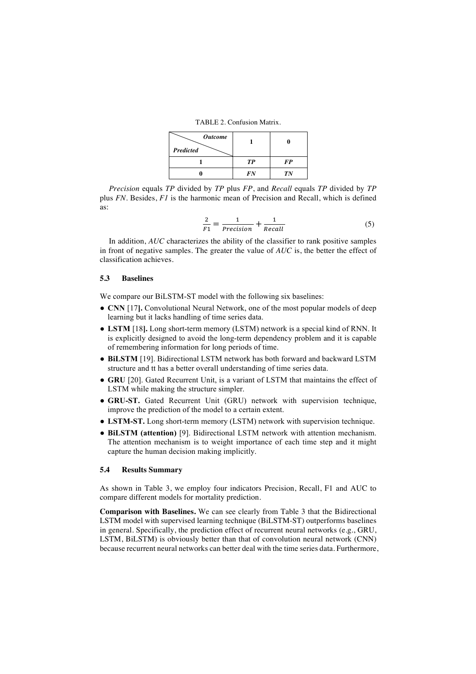TABLE 2. Confusion Matrix.

| <b>Outcome</b><br>Predicted |           |           |
|-----------------------------|-----------|-----------|
|                             | <b>TP</b> | <b>FP</b> |
|                             | FN        | TN        |

*Precision* equals *TP* divided by *TP* plus *FP*, and *Recall* equals *TP* divided by *TP* plus *FN*. Besides, *F1* is the harmonic mean of Precision and Recall, which is defined as:

$$
\frac{2}{F1} = \frac{1}{Precision} + \frac{1}{Recall}
$$
 (5)

In addition, *AUC* characterizes the ability of the classifier to rank positive samples in front of negative samples. The greater the value of *AUC* is, the better the effect of classification achieves.

# **5.3 Baselines**

We compare our BiLSTM-ST model with the following six baselines:

- **CNN** [17**].** Convolutional Neural Network, one of the most popular models of deep learning but it lacks handling of time series data.
- **LSTM** [18**].** Long short-term memory (LSTM) network is a special kind of RNN. It is explicitly designed to avoid the long-term dependency problem and it is capable of remembering information for long periods of time.
- **BiLSTM** [19]. Bidirectional LSTM network has both forward and backward LSTM structure and tt has a better overall understanding of time series data.
- **GRU** [20]. Gated Recurrent Unit, is a variant of LSTM that maintains the effect of LSTM while making the structure simpler.
- **GRU-ST.** Gated Recurrent Unit (GRU) network with supervision technique, improve the prediction of the model to a certain extent.
- **LSTM-ST.** Long short-term memory (LSTM) network with supervision technique.
- **BiLSTM (attention)** [9]. Bidirectional LSTM network with attention mechanism. The attention mechanism is to weight importance of each time step and it might capture the human decision making implicitly.

# **5.4 Results Summary**

As shown in Table 3, we employ four indicators Precision, Recall, F1 and AUC to compare different models for mortality prediction.

**Comparison with Baselines.** We can see clearly from Table 3 that the Bidirectional LSTM model with supervised learning technique (BiLSTM-ST) outperforms baselines in general. Specifically, the prediction effect of recurrent neural networks (e.g., GRU, LSTM, BiLSTM) is obviously better than that of convolution neural network (CNN) because recurrent neural networks can better deal with the time series data. Furthermore,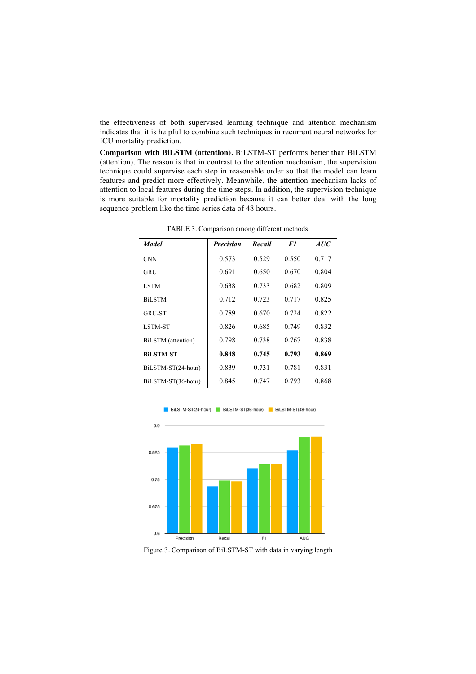the effectiveness of both supervised learning technique and attention mechanism indicates that it is helpful to combine such techniques in recurrent neural networks for ICU mortality prediction.

**Comparison with BiLSTM (attention).** BiLSTM-ST performs better than BiLSTM (attention). The reason is that in contrast to the attention mechanism, the supervision technique could supervise each step in reasonable order so that the model can learn features and predict more effectively. Meanwhile, the attention mechanism lacks of attention to local features during the time steps. In addition, the supervision technique is more suitable for mortality prediction because it can better deal with the long sequence problem like the time series data of 48 hours.

| <b>Model</b>       | <b>Precision</b> | Recall | F1    | <i>AUC</i> |
|--------------------|------------------|--------|-------|------------|
| <b>CNN</b>         | 0.573            | 0.529  | 0.550 | 0.717      |
| GRU                | 0.691            | 0.650  | 0.670 | 0.804      |
| <b>LSTM</b>        | 0.638            | 0.733  | 0.682 | 0.809      |
| <b>BiLSTM</b>      | 0.712            | 0.723  | 0.717 | 0.825      |
| <b>GRU-ST</b>      | 0.789            | 0.670  | 0.724 | 0.822      |
| LSTM-ST            | 0.826            | 0.685  | 0.749 | 0.832      |
| BiLSTM (attention) | 0.798            | 0.738  | 0.767 | 0.838      |
| <b>BiLSTM-ST</b>   | 0.848            | 0.745  | 0.793 | 0.869      |
| BiLSTM-ST(24-hour) | 0.839            | 0.731  | 0.781 | 0.831      |
| BiLSTM-ST(36-hour) | 0.845            | 0.747  | 0.793 | 0.868      |

TABLE 3. Comparison among different methods.



BiLSTM-ST(24-hour) BiLSTM-ST(36-hour) BiLSTM-ST(48-hour)

Figure 3. Comparison of BiLSTM-ST with data in varying length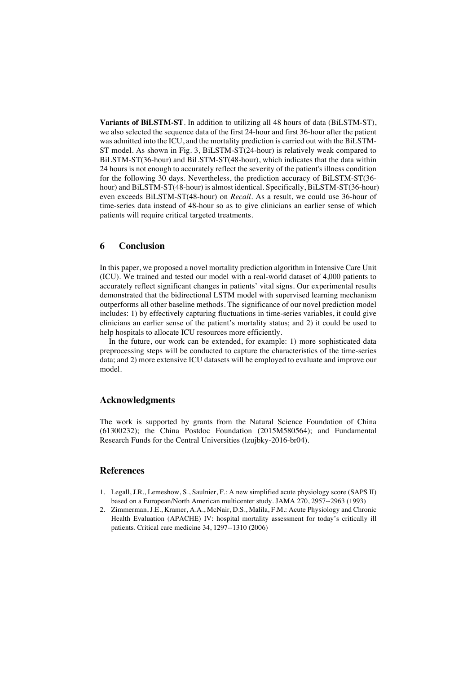**Variants of BiLSTM-ST**. In addition to utilizing all 48 hours of data (BiLSTM-ST), we also selected the sequence data of the first 24-hour and first 36-hour after the patient was admitted into the ICU, and the mortality prediction is carried out with the BiLSTM-ST model. As shown in Fig. 3, BiLSTM-ST(24-hour) is relatively weak compared to BiLSTM-ST(36-hour) and BiLSTM-ST(48-hour), which indicates that the data within 24 hours is not enough to accurately reflect the severity of the patient's illness condition for the following 30 days. Nevertheless, the prediction accuracy of BiLSTM-ST(36 hour) and BiLSTM-ST(48-hour) is almost identical. Specifically, BiLSTM-ST(36-hour) even exceeds BiLSTM-ST(48-hour) on *Recall*. As a result, we could use 36-hour of time-series data instead of 48-hour so as to give clinicians an earlier sense of which patients will require critical targeted treatments.

# **6 Conclusion**

In this paper, we proposed a novel mortality prediction algorithm in Intensive Care Unit (ICU). We trained and tested our model with a real-world dataset of 4,000 patients to accurately reflect significant changes in patients' vital signs. Our experimental results demonstrated that the bidirectional LSTM model with supervised learning mechanism outperforms all other baseline methods. The significance of our novel prediction model includes: 1) by effectively capturing fluctuations in time-series variables, it could give clinicians an earlier sense of the patient's mortality status; and 2) it could be used to help hospitals to allocate ICU resources more efficiently.

In the future, our work can be extended, for example: 1) more sophisticated data preprocessing steps will be conducted to capture the characteristics of the time-series data; and 2) more extensive ICU datasets will be employed to evaluate and improve our model.

# **Acknowledgments**

The work is supported by grants from the Natural Science Foundation of China (61300232); the China Postdoc Foundation (2015M580564); and Fundamental Research Funds for the Central Universities (lzujbky-2016-br04).

# **References**

- 1. Legall, J.R., Lemeshow, S., Saulnier, F.: A new simplified acute physiology score (SAPS II) based on a European/North American multicenter study. JAMA 270, 2957--2963 (1993)
- 2. Zimmerman, J.E., Kramer, A.A., McNair, D.S., Malila, F.M.: Acute Physiology and Chronic Health Evaluation (APACHE) IV: hospital mortality assessment for today's critically ill patients. Critical care medicine 34, 1297--1310 (2006)